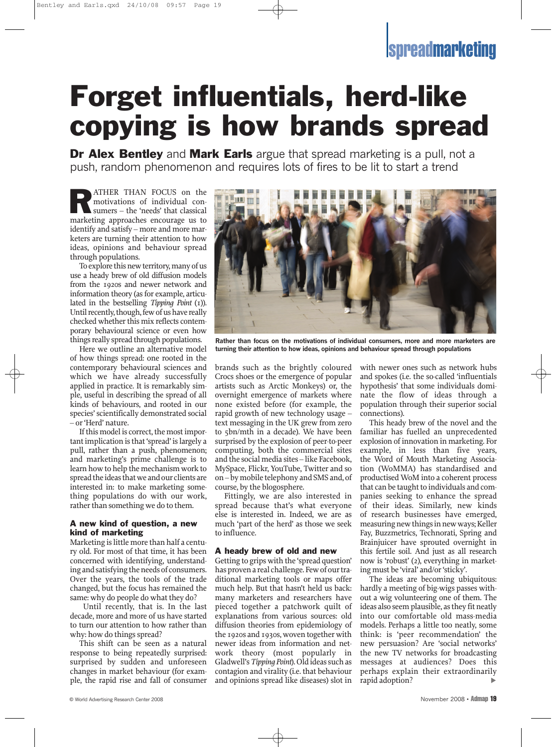## **Ispreadmarketing**

# Forget influentials, herd-like copying is how brands spread

**Dr Alex Bentley** and **Mark Earls** argue that spread marketing is a pull, not a push, random phenomenon and requires lots of fires to be lit to start a trend

**RATHER THAN FOCUS on the motivations of individual consumers – the 'needs' that classical** motivations of individual conmarketing approaches encourage us to identify and satisfy – more and more marketers are turning their attention to how ideas, opinions and behaviour spread through populations.

To explore this new territory, many of us use a heady brew of old diffusion models from the 1920s and newer network and information theory (as for example, articulated in the bestselling *Tipping Point* (1)). Until recently, though, few of us have really checked whether this mix reflects contemporary behavioural science or even how things really spread through populations.

Here we outline an alternative model of how things spread: one rooted in the contemporary behavioural sciences and which we have already successfully applied in practice. It is remarkably simple, useful in describing the spread of all kinds of behaviours, and rooted in our species'scientifically demonstrated social – or'Herd' nature.

If this model is correct, the most important implication is that 'spread' is largely a pull, rather than a push, phenomenon; and marketing's prime challenge is to learn how to help the mechanism work to spread the ideas that we and our clients are interested in: to make marketing something populations do with our work, rather than something we do to them.

#### A new kind of question, a new kind of marketing

Marketing is little more than half a century old. For most of that time, it has been concerned with identifying, understanding and satisfying the needs of consumers. Over the years, the tools of the trade changed, but the focus has remained the same: why do people do what they do?

Until recently, that is. In the last decade, more and more of us have started to turn our attention to how rather than why: how do things spread?

This shift can be seen as a natural response to being repeatedly surprised: surprised by sudden and unforeseen changes in market behaviour (for example, the rapid rise and fall of consumer



**Rather than focus on the motivations of individual consumers, more and more marketers are turning their attention to how ideas, opinions and behaviour spread through populations**

brands such as the brightly coloured Crocs shoes or the emergence of popular artists such as Arctic Monkeys) or, the overnight emergence of markets where none existed before (for example, the rapid growth of new technology usage – text messaging in the UK grew from zero to 5bn/mth in a decade). We have been surprised by the explosion of peer-to-peer computing, both the commercial sites and the social media sites – like Facebook, MySpace, Flickr, YouTube, Twitter and so on– bymobile telephony and SMS and, of course, by the blogosphere.

Fittingly, we are also interested in spread because that's what everyone else is interested in. Indeed, we are as much 'part of the herd' as those we seek to influence.

#### A heady brew of old and new

Getting to grips with the 'spread question' has proven a real challenge. Few of our traditional marketing tools or maps offer much help. But that hasn't held us back: many marketers and researchers have pieced together a patchwork quilt of explanations from various sources: old diffusion theories from epidemiology of the 1920s and 1930s, woven together with newer ideas from information and network theory (most popularly in Gladwell's Tipping Point). Old ideas such as contagion and virality (i.e. that behaviour and opinions spread like diseases) slot in with newer ones such as network hubs and spokes (i.e. the so-called 'influentials hypothesis' that some individuals dominate the flow of ideas through a population through their superior social connections).

This heady brew of the novel and the familiar has fuelled an unprecedented explosion of innovation in marketing. For example, in less than five years, the Word of Mouth Marketing Association (WoMMA) has standardised and productised WoM into a coherent process that can be taught to individuals and companies seeking to enhance the spread of their ideas. Similarly, new kinds of research businesses have emerged, measuring new things in new ways; Keller Fay, Buzzmetrics, Technorati, Spring and Brainjuicer have sprouted overnight in this fertile soil. And just as all research now is 'robust' (2), everything in marketing must be 'viral' and/or'sticky'.

The ideas are becoming ubiquitous: hardly a meeting of big-wigs passes without a wig volunteering one of them. The ideas also seem plausible, as they fit neatly into our comfortable old mass-media models. Perhaps a little too neatly, some think: is 'peer recommendation' the new persuasion? Are 'social networks' the new TV networks for broadcasting messages at audiences? Does this perhaps explain their extraordinarily rapid adoption?  $\blacktriangleright$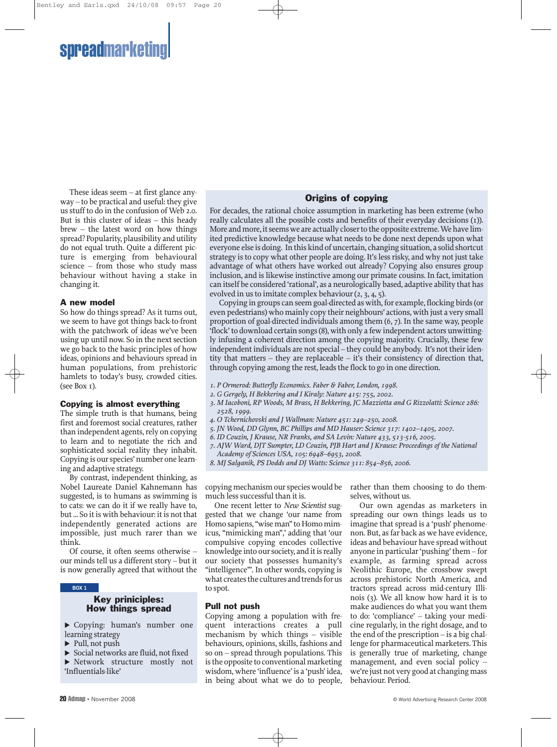

These ideas seem – at first glance anyway – to be practical and useful: they give usstuff to do in the confusion of Web 2.0. But is this cluster of ideas – this heady brew – the latest word on how things spread? Popularity, plausibility and utility do not equal truth. Quite a different picture is emerging from behavioural science – from those who study mass behaviour without having a stake in changing it.

#### A new model

So how do things spread? As it turns out, we seem to have got things back-to-front with the patchwork of ideas we've been using up until now. So in the next section we go back to the basic principles of how ideas, opinions and behaviours spread in human populations, from prehistoric hamlets to today's busy, crowded cities. (see Box 1).

#### Copying is almost everything

The simple truth is that humans, being first and foremost social creatures, rather than independent agents, rely on copying to learn and to negotiate the rich and sophisticated social reality they inhabit. Copying is our species' number one learning and adaptive strategy.

By contrast, independent thinking, as Nobel Laureate Daniel Kahnemann has suggested, is to humans as swimming is to cats: we can do it if we really have to, but ... So it is with behaviour: it is not that independently generated actions are impossible, just much rarer than we think.

Of course, it often seems otherwise – our minds tell us a different story – but it is now generally agreed that without the

#### **BOX 1**

#### Key priniciples: How things spread

- ! Copying: human's number one learning strategy
- $\blacktriangleright$  Pull, not push
- $\triangleright$  Social networks are fluid, not fixed
- ! Network structure mostly not 'Influentials-like'

#### Origins of copying

For decades, the rational choice assumption in marketing has been extreme (who really calculates all the possible costs and benefits of their everyday decisions (1)). More and more, it seems we are actually closer to the opposite extreme. We have limited predictive knowledge because what needs to be done next depends upon what everyone else is doing. In this kind of uncertain, changing situation, a solid shortcut strategy isto copy what other people are doing. It'slessrisky, and why not just take advantage of what others have worked out already? Copying also ensures group inclusion, and is likewise instinctive among our primate cousins. In fact, imitation can itself be considered 'rational', as a neurologically based, adaptive ability that has evolved in us to imitate complex behaviour  $(2, 3, 4, 5)$ .

Copying in groups can seem goal-directed as with, for example, flocking birds (or even pedestrians) who mainly copy their neighbours' actions, with just a very small proportion of goal-directed individuals among them (6, 7). In the same way, people 'flock'to download certain songs(8), with only a few independent actors unwittingly infusing a coherent direction among the copying majority. Crucially, these few independent individuals are not special – they could be anybody. It's not their identity that matters – they are replaceable – it's their consistency of direction that, through copying among the rest, leads the flock to go in one direction.

- *1. P Ormerod: Butterfly Economics. Faber & Faber, London, 1998.*
- *2. G Gergely, H Bekkering and I Kiraly: Nature 415: 755, 2002.*
- *3. M Iacoboni, RP Woods, M Brass, H Bekkering, JC Mazziotta and G Rizzolatti: Science 286: 2528, 1999.*
- *4. O Tchernichovski and J Wallman: Nature 451: 249–250, 2008.*
- *5. JN Wood, DD Glynn, BC Phillips and MD Hauser: Science 317: 1402–1405, 2007.*
- *6. ID Couzin, J Krause, NR Franks, and SA Levin: Nature 433, 513-516, 2005.*
- *7. AJW Ward, DJT Sumpter, LD Couzin, PJB Hart and J Krause: Proceedings of the National Academy of Sciences USA, 105: 6948–6953, 2008.*

*8. MJ Salganik, PS Dodds and DJ Watts: Science 311: 854–856, 2006.*

copying mechanism our species would be much less successful than it is.

One recent letter to *New Scientist* suggested that we change 'our name from Homo sapiens, "wise man" to Homo mimicus, "mimicking man",' adding that 'our compulsive copying encodes collective knowledge into our society, and it is really our society that possesses humanity's "intelligence"'. In other words, copying is what creates the cultures and trends for us to spot.

#### Pull not push

Copying among a population with frequent interactions creates a pull mechanism by which things – visible behaviours, opinions, skills, fashions and so on – spread through populations. This is the opposite to conventional marketing wisdom, where 'influence' is a 'push' idea, in being about what we do to people, rather than them choosing to do themselves, without us.

Our own agendas as marketers in spreading our own things leads us to imagine that spread is a 'push' phenomenon. But, as far back as we have evidence, ideas and behaviour have spread without anyone in particular'pushing'them – for example, as farming spread across Neolithic Europe, the crossbow swept across prehistoric North America, and tractors spread across mid-century Illinois (3). We all know how hard it is to make audiences do what you want them to do: 'compliance' – taking your medicine regularly, in the right dosage, and to the end of the prescription – is a big challenge for pharmaceutical marketers. This is generally true of marketing, change management, and even social policy – we're just not very good at changing mass behaviour. Period.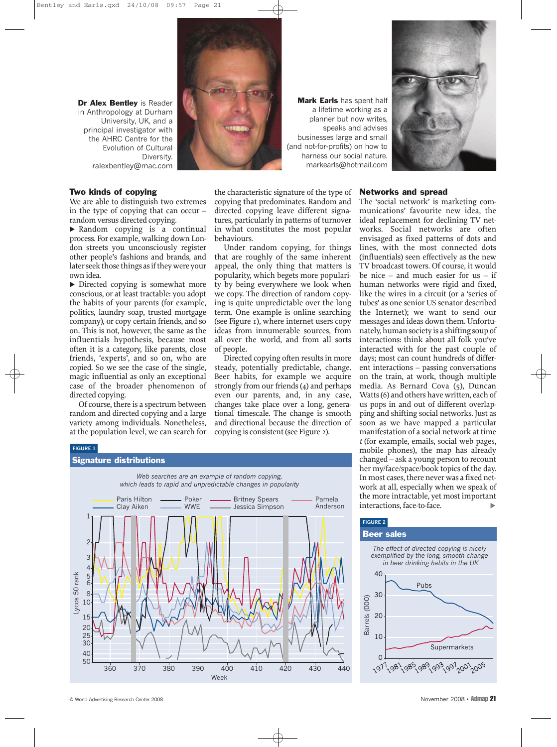

#### Two kinds of copying

We are able to distinguish two extremes in the type of copying that can occur – random versus directed copying.

! Random copying is a continual process. For example, walking down London streets you unconsciously register other people's fashions and brands, and later seek those things as if they were your own idea.

 $\triangleright$  Directed copying is somewhat more conscious, or at least tractable: you adopt the habits of your parents (for example, politics, laundry soap, trusted mortgage company), or copy certain friends, and so on. This is not, however, the same as the influentials hypothesis, because most often it is a category, like parents, close friends, 'experts', and so on, who are copied. So we see the case of the single, magic influential as only an exceptional case of the broader phenomenon of directed copying.

Of course, there is a spectrum between random and directed copying and a large variety among individuals. Nonetheless, at the population level, we can search for

**FIGURE 1**

behaviours.

of people.

Mark Earls has spent half a lifetime working as a planner but now writes, speaks and advises businesses large and small (and not-for-profits) on how to harness our social nature. markearls@hotmail.com

the characteristic signature of the type of copying that predominates. Random and directed copying leave different signatures, particularly in patterns of turnover in what constitutes the most popular

Under random copying, for things that are roughly of the same inherent appeal, the only thing that matters is popularity, which begets more popularity by being everywhere we look when we copy. The direction of random copying is quite unpredictable over the long term. One example is online searching (see Figure 1), where internet users copy ideas from innumerable sources, from all over the world, and from all sorts

Directed copying often results in more steady, potentially predictable, change. Beer habits, for example we acquire strongly from our friends  $(4)$  and perhaps even our parents, and, in any case, changes take place over a long, generational timescale. The change is smooth and directional because the direction of copying is consistent(see Figure 2).



#### Networks and spread

The 'social network' is marketing communications' favourite new idea, the ideal replacement for declining TV networks. Social networks are often envisaged as fixed patterns of dots and lines, with the most connected dots (influentials) seen effectively as the new TV broadcast towers. Of course, it would be nice – and much easier for us – if human networks were rigid and fixed, like the wires in a circuit (or a 'series of tubes' as one senior US senator described the Internet); we want to send our messages and ideas down them. Unfortunately,humansociety is a shifting soupof interactions: think about all folk you've interacted with for the past couple of days; most can count hundreds of different interactions – passing conversations on the train, at work, though multiple media. As Bernard Cova (5), Duncan Watts (6) and others have written, each of us pops in and out of different overlapping and shifting social networks. Just as soon as we have mapped a particular manifestation of a social network at time *t* (for example, emails, social web pages, mobile phones), the map has already changed – ask a young person to recount her my/face/space/book topics of the day. In most cases, there never was a fixed network at all, especially when we speak of the more intractable, yet most important interactions, face-to-face.  $\blacktriangleright$ 



#### **FIGURE 2**